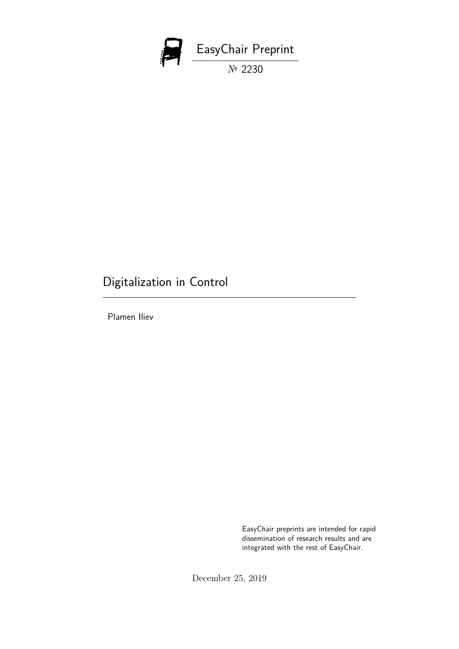

# Digitalization in Control

Plamen Iliev

EasyChair preprints are intended for rapid dissemination of research results and are integrated with the rest of EasyChair.

December 25, 2019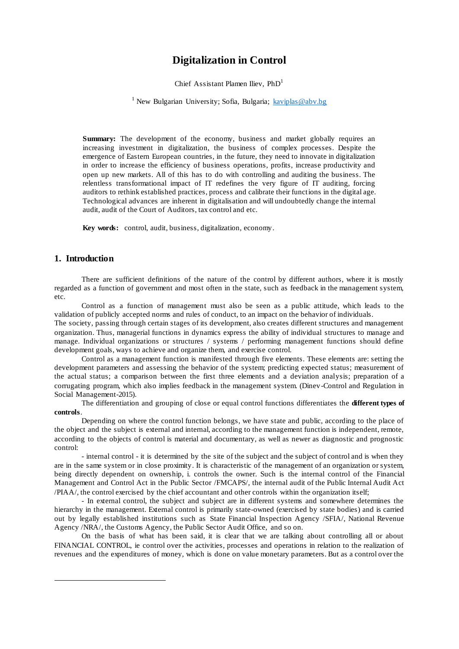## **Digitalization in Control**

Chief Assistant Plamen Iliev,  $PhD<sup>1</sup>$ 

<sup>1</sup> New Bulgarian University; Sofia, Bulgaria;  $kaviplas@abv.bg$ 

**Summary:** The development of the economy, business and market globally requires an increasing investment in digitalization, the business of complex processes. Despite the emergence of Eastern European countries, in the future, they need to innovate in digitalization in order to increase the efficiency of business operations, profits, increase productivity and open up new markets. All of this has to do with controlling and auditing the business. The relentless transformational impact of IT redefines the very figure of IT auditing, forcing auditors to rethink established practices, process and calibrate their functions in the digital age. Technological advances are inherent in digitalisation and will undoubtedly change the internal audit, audit of the Court of Auditors, tax control and etc.

**Key words:** control, audit, business, digitalization, economy.

### **1. Introduction**

 $\overline{a}$ 

There are sufficient definitions of the nature of the control by different authors, where it is mostly regarded as a function of government and most often in the state, such as feedback in the management system, etc.

Control as a function of management must also be seen as a public attitude, which leads to the validation of publicly accepted norms and rules of conduct, to an impact on the behavior of individuals.

The society, passing through certain stages of its development, also creates different structures and management organization. Thus, managerial functions in dynamics express the ability of individual structures to manage and manage. Individual organizations or structures / systems / performing management functions should define development goals, ways to achieve and organize them, and exercise control.

Control as a management function is manifested through five elements. These elements are: setting the development parameters and assessing the behavior of the system; predicting expected status; measurement of the actual status; a comparison between the first three elements and a deviation analysis; preparation of a corrugating program, which also implies feedback in the management system. (Dinev -Control and Regulation in Social Management-2015).

The differentiation and grouping of close or equal control functions differentiates the **different types of controls**.

Depending on where the control function belongs, we have state and public, according to the place of the object and the subject is external and internal, according to the management function is independent, remote, according to the objects of control is material and documentary, as well as newer as diagnostic and prognostic control:

- internal control - it is determined by the site of the subject and the subject of control and is when they are in the same system or in close proximity. It is characteristic of the management of an organization or system, being directly dependent on ownership, i. controls the owner. Such is the internal control of the Financial Management and Control Act in the Public Sector /FMCAPS/, the internal audit of the Public Internal Audit Act /PIAA/, the control exercised by the chief accountant and other controls within the organization itself;

- In external control, the subject and subject are in different systems and somewhere determines the hierarchy in the management. External control is primarily state-owned (exercised by state bodies) and is carried out by legally established institutions such as State Financial Inspection Agency /SFIA/, National Revenue Agency /NRA/, the Customs Agency, the Public Sector Audit Office, and so on.

On the basis of what has been said, it is clear that we are talking about controlling all or about FINANCIAL CONTROL, ie control over the activities, processes and operations in relation to the realization of revenues and the expenditures of money, which is done on value monetary parameters. But as a control over the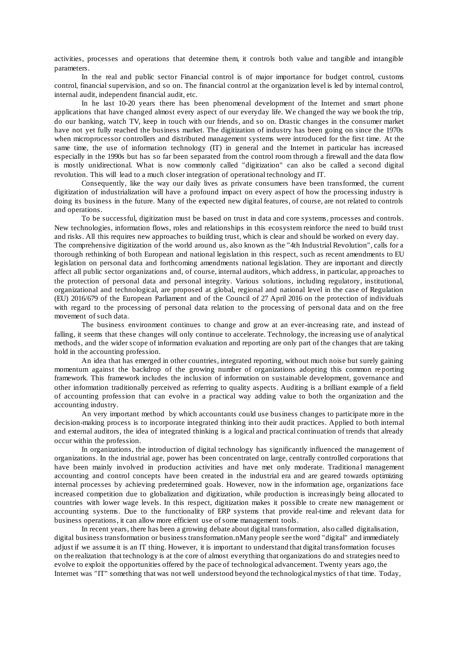activities, processes and operations that determine them, it controls both value and tangible and intangible parameters.

In the real and public sector Financial control is of major importance for budget control, customs control, financial supervision, and so on. The financial control at the organization level is led by internal control, internal audit, independent financial audit, etc.

In he last 10-20 years there has been phenomenal development of the Internet and smart phone applications that have changed almost every aspect of our everyday life. We changed the way we book the trip, do our banking, watch TV, keep in touch with our friends, and so on. Drastic changes in the consumer market have not yet fully reached the business market. The digitization of industry has been going on since the 1970s when microprocessor controllers and distributed management systems were introduced for the first time. At the same time, the use of information technology (IT) in general and the Internet in particular has increased especially in the 1990s but has so far been separated from the control room through a firewall and the data flow is mostly unidirectional. What is now commonly called "digitization" can also be called a second digital revolution. This will lead to a much closer integration of operational technology and IT.

Consequently, like the way our daily lives as private consumers have been transformed, the current digitization of industrialization will have a profound impact on every aspect of how the processing industry is doing its business in the future. Many of the expected new digital features, of course, are not related to controls and operations.

To be successful, digitization must be based on trust in data and core systems, processes and controls. New technologies, information flows, roles and relationships in this ecosystem reinforce the need to build trust and risks. All this requires new approaches to building trust, which is clear and should be worked on every day. The comprehensive digitization of the world around us, also known as the "4th Industrial Revolution", calls for a thorough rethinking of both European and national legislation in this respect, such as recent amendments to EU legislation on personal data and forthcoming amendments national legislation. They are important and directly affect all public sector organizations and, of course, internal auditors, which address, in particular, ap proaches to the protection of personal data and personal integrity. Various solutions, including regulatory, institutional, organizational and technological, are proposed at global, regional and national level in the case of Regulation (EU) 2016/679 of the European Parliament and of the Council of 27 April 2016 on the protection of individuals with regard to the processing of personal data relation to the processing of personal data and on the free movement of such data.

The business environment continues to change and grow at an ever-increasing rate, and instead of falling, it seems that these changes will only continue to accelerate. Technology, the increasing use of analytical methods, and the wider scope of information evaluation and reporting are only part of the changes that are taking hold in the accounting profession.

An idea that has emerged in other countries, integrated reporting, without much noise but surely gaining momentum against the backdrop of the growing number of organizations adopting this common re porting framework. This framework includes the inclusion of information on sustainable development, governance and other information traditionally perceived as referring to quality aspects. Auditing is a brilliant example of a field of accounting profession that can evolve in a practical way adding value to both the organization and the accounting industry.

An very important method by which accountants could use business changes to participate more in the decision-making process is to incorporate integrated thinking into their audit practices. Applied to both internal and external auditors, the idea of integrated thinking is a logical and practical continuation of trends that already occur within the profession.

In organizations, the introduction of digital technology has significantly influenced the management of organizations. In the industrial age, power has been concentrated on large, centrally controlled corporations that have been mainly involved in production activities and have met only moderate. Traditional management accounting and control concepts have been created in the industrial era and are geared towards optimizing internal processes by achieving predetermined goals. However, now in the information age, organizations face increased competition due to globalization and digitization, while production is increasingly being allocated to countries with lower wage levels. In this respect, digitization makes it possible to create new management or accounting systems. Due to the functionality of ERP systems that provide real-time and relevant data for business operations, it can allow more efficient use of some management tools.

In recent years, there has been a growing debate about digital transformation, also called digitalisation, digital business transformation or business transformation.nMany people see the word "digital" and immediately adjust if we assume it is an IT thing. However, it is important to understand that digital transformation focuses on the realization that technology is at the core of almost everything that organizations do and strategies need to evolve to exploit the opportunities offered by the pace of technological advancement. Twenty years ago, the Internet was "IT" something that was not well understood beyond the technological mystics of t hat time. Today,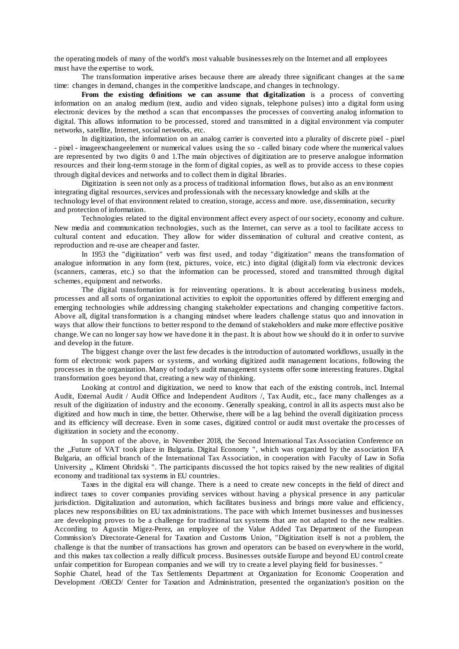the operating models of many of the world's most valuable businesses rely on the Internet and all employees must have the expertise to work.

The transformation imperative arises because there are already three significant changes at the same time: changes in demand, changes in the competitive landscape, and changes in technology.

**From the existing definitions we can assume that digitalization** is a process of converting information on an analog medium (text, audio and video signals, telephone pulses) into a digital form using electronic devices by the method a scan that encompasses the processes of converting analog information to digital. This allows information to be processed, stored and transmitted in a digital environment via computer networks, satellite, Internet, social networks, etc.

In digitization, the information on an analog carrier is converted into a plurality of discrete pixel - pixel - pixel - imageexchangeelement or numerical values using the so - called binary code where the numerical values are represented by two digits 0 and 1.The main objectives of digitization are to preserve analogue information resources and their long-term storage in the form of digital copies, as well as to provide access to these copies through digital devices and networks and to collect them in digital libraries.

Digitization is seen not only as a process of traditional information flows, but also as an env ironment integrating digital resources, services and professionals with the necessary knowledge and skills at the technology level of that environment related to creation, storage, access and more. use, dissemination, security and protection of information.

Technologies related to the digital environment affect every aspect of our society, economy and culture. New media and communication technologies, such as the Internet, can serve as a tool to facilitate access to cultural content and education. They allow for wider dissemination of cultural and creative content, as reproduction and re-use are cheaper and faster.

In 1953 the "digitization" verb was first used, and today "digitization" means the transformation of analogue information in any form (text, pictures, voice, etc.) into digital (digit al) form via electronic devices (scanners, cameras, etc.) so that the information can be processed, stored and transmitted through digital schemes, equipment and networks.

The digital transformation is for reinventing operations. It is about accelerating business models, processes and all sorts of organizational activities to exploit the opportunities offered by different emerging and emerging technologies while addressing changing stakeholder expectations and changing competitive factors. Above all, digital transformation is a changing mindset where leaders challenge status quo and innovation in ways that allow their functions to better respond to the demand of stakeholders and make more effective positive change. We can no longer say how we have done it in the past. It is about how we should do it in order to survive and develop in the future.

The biggest change over the last few decades is the introduction of automated workflows, usually in the form of electronic work papers or systems, and working digitized audit management locations, following the processes in the organization. Many of today's audit management systems offer some interesting features. Digital transformation goes beyond that, creating a new way of thinking.

Looking at control and digitization, we need to know that each of the existing controls, incl. Internal Audit, External Audit / Audit Office and Independent Auditors /, Tax Audit, etc., face many challenges as a result of the digitization of industry and the economy. Generally speaking, control in all its aspects must also be digitized and how much in time, the better. Otherwise, there will be a lag behind the overall digitization process and its efficiency will decrease. Even in some cases, digitized control or audit must overtake the pro cesses of digitization in society and the economy.

In support of the above, in November 2018, the Second International Tax Association Conference on the ,,Future of VAT took place in Bulgaria. Digital Economy ", which was organized by the association IFA Bulgaria, an official branch of the International Tax Association, in cooperation with Faculty of Law in Sofia University ,, Kliment Ohridski ". The participants discussed the hot topics raised by the new realities of digital economy and traditional tax systems in EU countries.

Taxes in the digital era will change. There is a need to create new concepts in the field of direct and indirect taxes to cover companies providing services without having a physical presence in any particular jurisdiction. Digitalization and automation, which facilitates business and brings more value and efficiency, places new responsibilities on EU tax administrations. The pace with which Internet businesses and businesses are developing proves to be a challenge for traditional tax systems that are not adapted to the new realities. According to Agustin Migez-Perez, an employee of the Value Added Tax Department of the European Commission's Directorate-General for Taxation and Customs Union, "Digitization itself is not a problem, the challenge is that the number of transactions has grown and operators can be based on everywhere in the world, and this makes tax collection a really difficult process. Businesses outside Europe and beyond EU control create unfair competition for European companies and we will try to create a level playing field for businesses. "

Sophie Chatel, head of the Tax Settlements Department at Organization for Economic Cooperation and Development /OECD/ Center for Taxation and Administration, presented the organization's position on the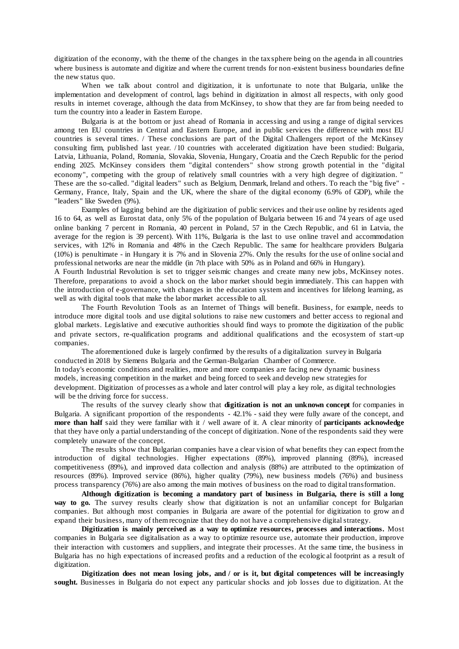digitization of the economy, with the theme of the changes in the tax sphere being on the agenda in all countries where business is automate and digitize and where the current trends for non-existent business boundaries define the new status quo.

When we talk about control and digitization, it is unfortunate to note that Bulgaria, unlike the implementation and development of control, lags behind in digitization in almost all respects, with only good results in internet coverage, although the data from McKinsey, to show that they are far from being needed to turn the country into a leader in Eastern Europe.

Bulgaria is at the bottom or just ahead of Romania in accessing and using a range of digital services among ten EU countries in Central and Eastern Europe, and in public services the difference with most EU countries is several times. / These conclusions are part of the Digital Challengers report of the McKinsey consulting firm, published last year. /10 countries with accelerated digitization have been studied: Bulgaria, Latvia, Lithuania, Poland, Romania, Slovakia, Slovenia, Hungary, Croatia and the Czech Republic for the period ending 2025. McKinsey considers them "digital contenders" show strong growth potential in the "digital economy", competing with the group of relatively small countries with a very high degree of digitization. These are the so-called. "digital leaders" such as Belgium, Denmark, Ireland and others. To reach the "big five" -Germany, France, Italy, Spain and the UK, where the share of the digital economy (6.9% of GDP), while the "leaders" like Sweden (9%).

Examples of lagging behind are the digitization of public services and their use online by residents aged 16 to 64, as well as Eurostat data, only 5% of the population of Bulgaria between 16 and 74 years of age used online banking 7 percent in Romania, 40 percent in Poland, 57 in the Czech Republic, and 61 in Latvia, the average for the region is 39 percent). With 11%, Bulgaria is the last to use online travel and accommodation services, with 12% in Romania and 48% in the Czech Republic. The same for healthcare providers Bulgaria (10%) is penultimate - in Hungary it is 7% and in Slovenia 27%. Only the results for the use of online social and professional networks are near the middle (in 7th place with 50% as in Poland and 66% in Hungary).

A Fourth Industrial Revolution is set to trigger seismic changes and create many new jobs, McKinsey notes. Therefore, preparations to avoid a shock on the labor market should begin immediately. This can happen with the introduction of e-governance, with changes in the education system and incentives for lifelong learning, as well as with digital tools that make the labor market accessible to all.

The Fourth Revolution Tools as an Internet of Things will benefit. Business, for example, needs to introduce more digital tools and use digital solutions to raise new customers and better access to regional and global markets. Legislative and executive authorities should find ways to promote the digitization of the public and private sectors, re-qualification programs and additional qualifications and the ecosystem of start-up companies.

The aforementioned duke is largely confirmed by the results of a digitalization survey in Bulgaria conducted in 2018 by Siemens Bulgaria and the German-Bulgarian Chamber of Commerce. In today's economic conditions and realities, more and more companies are facing new dynamic business models, increasing competition in the market and being forced to seek and develop new strategies for development. Digitization of processes as a whole and later control will play a key role, as digital technologies will be the driving force for success.

The results of the survey clearly show that **digitization is not an unknown concept** for companies in Bulgaria. A significant proportion of the respondents - 42.1% - said they were fully aware of the concept, and **more than half** said they were familiar with it / well aware of it. A clear minority of **participants acknowledge** that they have only a partial understanding of the concept of digitization. None of the respondents said they were completely unaware of the concept.

The results show that Bulgarian companies have a clear vision of what benefits they can expect from the introduction of digital technologies. Higher expectations (89%), improved planning (89%), increased competitiveness (89%), and improved data collection and analysis (88%) are attributed to the optimization of resources (89%). Improved service (86%), higher quality (79%), new business models (76%) and business process transparency (76%) are also among the main motives of business on the road to digital transformation.

**Although digitization is becoming a mandatory part of business in Bulgaria, there is still a long**  way to go. The survey results clearly show that digitization is not an unfamiliar concept for Bulgarian companies. But although most companies in Bulgaria are aware of the potential for digitization to grow an d expand their business, many of them recognize that they do not have a comprehensive digital strategy.

**Digitization is mainly perceived as a way to optimize resources, processes and interactions.** Most companies in Bulgaria see digitalisation as a way to optimize resource use, automate their production, improve their interaction with customers and suppliers, and integrate their processes. At the same time, the business in Bulgaria has no high expectations of increased profits and a reduction of the ecologic al footprint as a result of digitization.

**Digitization does not mean losing jobs, and / or is it, but digital competences will be increasingly sought.** Businesses in Bulgaria do not expect any particular shocks and job losses due to digitization. At the